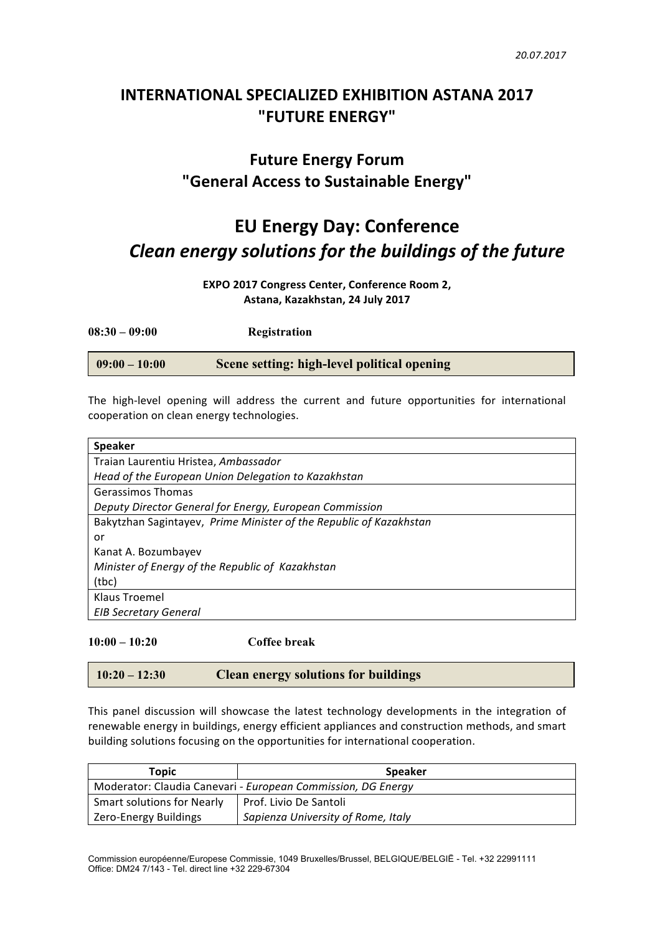## **INTERNATIONAL SPECIALIZED EXHIBITION ASTANA 2017 "FUTURE ENERGY"**

## **Future Energy Forum "General Access to Sustainable Energy"**

# **EU Energy Day: Conference** *Clean energy solutions for the buildings of the future*

**EXPO 2017 Congress Center, Conference Room 2,** Astana, Kazakhstan, 24 July 2017

**08:30 – 09:00 Registration**

**09:00 – 10:00 Scene setting: high-level political opening**

The high-level opening will address the current and future opportunities for international cooperation on clean energy technologies.

| <b>Speaker</b>                                                     |  |  |
|--------------------------------------------------------------------|--|--|
| Traian Laurentiu Hristea, Ambassador                               |  |  |
| Head of the European Union Delegation to Kazakhstan                |  |  |
| Gerassimos Thomas                                                  |  |  |
| Deputy Director General for Energy, European Commission            |  |  |
| Bakytzhan Sagintayev, Prime Minister of the Republic of Kazakhstan |  |  |
| or                                                                 |  |  |
| Kanat A. Bozumbayev                                                |  |  |
| Minister of Energy of the Republic of Kazakhstan                   |  |  |
| (tbc)                                                              |  |  |
| Klaus Troemel                                                      |  |  |
| <b>EIB Secretary General</b>                                       |  |  |

**10:00 – 10:20 Coffee break**

| <b>Clean energy solutions for buildings</b><br>$10:20 - 12:30$ |  |
|----------------------------------------------------------------|--|
|----------------------------------------------------------------|--|

This panel discussion will showcase the latest technology developments in the integration of renewable energy in buildings, energy efficient appliances and construction methods, and smart building solutions focusing on the opportunities for international cooperation.

| Topic                                                        | <b>Speaker</b>                     |  |
|--------------------------------------------------------------|------------------------------------|--|
| Moderator: Claudia Canevari - European Commission, DG Energy |                                    |  |
| <b>Smart solutions for Nearly</b>                            | Prof. Livio De Santoli             |  |
| Zero-Energy Buildings                                        | Sapienza University of Rome, Italy |  |

Commission européenne/Europese Commissie, 1049 Bruxelles/Brussel, BELGIQUE/BELGIË - Tel. +32 22991111 Office: DM24 7/143 - Tel. direct line +32 229-67304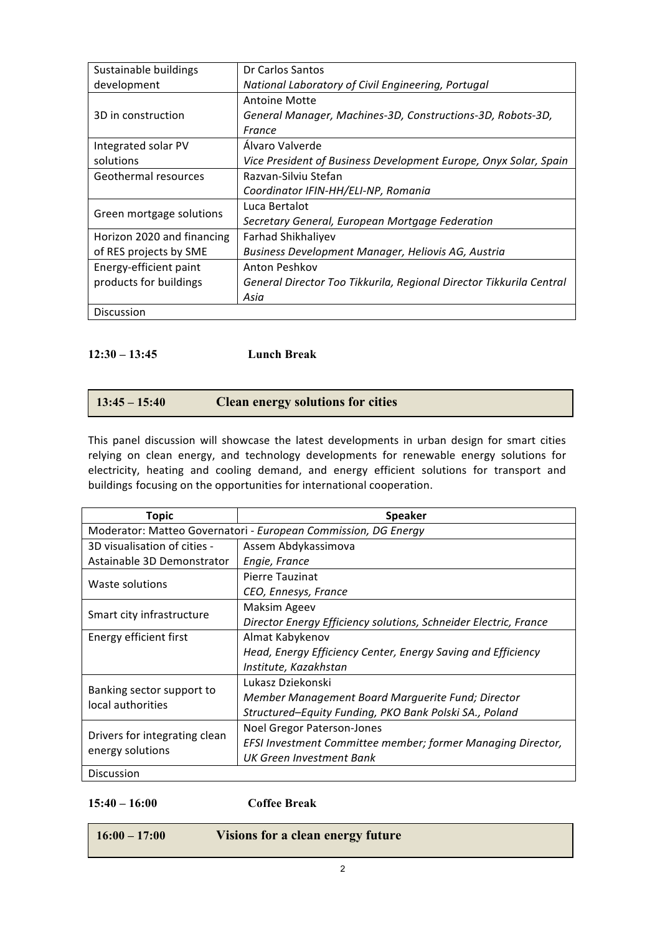| Sustainable buildings      | Dr Carlos Santos                                                    |  |
|----------------------------|---------------------------------------------------------------------|--|
| development                | National Laboratory of Civil Engineering, Portugal                  |  |
|                            | Antoine Motte                                                       |  |
| 3D in construction         | General Manager, Machines-3D, Constructions-3D, Robots-3D,          |  |
|                            | France                                                              |  |
| Integrated solar PV        | Álvaro Valverde                                                     |  |
| solutions                  | Vice President of Business Development Europe, Onyx Solar, Spain    |  |
| Geothermal resources       | Razvan-Silviu Stefan                                                |  |
|                            | Coordinator IFIN-HH/ELI-NP, Romania                                 |  |
| Green mortgage solutions   | Luca Bertalot                                                       |  |
|                            | Secretary General, European Mortgage Federation                     |  |
| Horizon 2020 and financing | Farhad Shikhaliyev                                                  |  |
| of RES projects by SME     | Business Development Manager, Heliovis AG, Austria                  |  |
| Energy-efficient paint     | Anton Peshkov                                                       |  |
| products for buildings     | General Director Too Tikkurila, Regional Director Tikkurila Central |  |
|                            | Asia                                                                |  |
| <b>Discussion</b>          |                                                                     |  |

### **12:30 – 13:45 Lunch Break**

| $13:45 - 15:40$ | <b>Clean energy solutions for cities</b> |  |
|-----------------|------------------------------------------|--|
|-----------------|------------------------------------------|--|

This panel discussion will showcase the latest developments in urban design for smart cities relying on clean energy, and technology developments for renewable energy solutions for electricity, heating and cooling demand, and energy efficient solutions for transport and buildings focusing on the opportunities for international cooperation.

| <b>Topic</b>                                                   | <b>Speaker</b>                                                   |  |
|----------------------------------------------------------------|------------------------------------------------------------------|--|
| Moderator: Matteo Governatori - European Commission, DG Energy |                                                                  |  |
| 3D visualisation of cities -                                   | Assem Abdykassimova                                              |  |
| Astainable 3D Demonstrator                                     | Engie, France                                                    |  |
| Waste solutions                                                | Pierre Tauzinat                                                  |  |
|                                                                | CEO, Ennesys, France                                             |  |
| Smart city infrastructure                                      | Maksim Ageev                                                     |  |
|                                                                | Director Energy Efficiency solutions, Schneider Electric, France |  |
| Energy efficient first                                         | Almat Kabykenov                                                  |  |
|                                                                | Head, Energy Efficiency Center, Energy Saving and Efficiency     |  |
|                                                                | Institute, Kazakhstan                                            |  |
|                                                                | Lukasz Dziekonski                                                |  |
| Banking sector support to<br>local authorities                 | Member Management Board Marguerite Fund; Director                |  |
|                                                                | Structured–Equity Funding, PKO Bank Polski SA., Poland           |  |
| Drivers for integrating clean<br>energy solutions              | Noel Gregor Paterson-Jones                                       |  |
|                                                                | EFSI Investment Committee member; former Managing Director,      |  |
|                                                                | UK Green Investment Bank                                         |  |
| <b>Discussion</b>                                              |                                                                  |  |

#### **15:40 – 16:00 Coffee Break**

**16:00 – 17:00 Visions for a clean energy future**